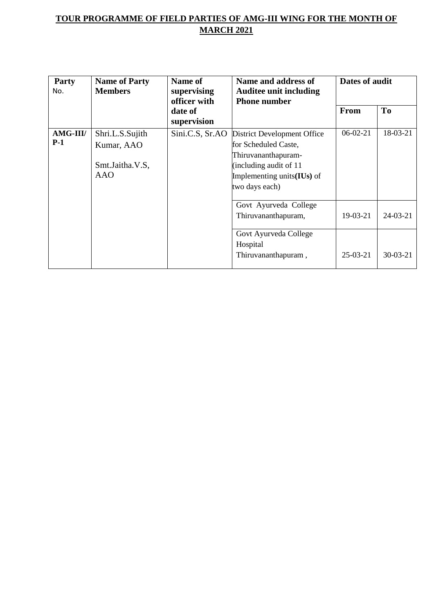| Party<br>No.      | <b>Name of Party</b><br><b>Members</b>                         | <b>Name of</b><br>supervising<br>officer with | Name and address of<br><b>Auditee unit including</b><br><b>Phone number</b>                                                                             | Dates of audit |            |
|-------------------|----------------------------------------------------------------|-----------------------------------------------|---------------------------------------------------------------------------------------------------------------------------------------------------------|----------------|------------|
|                   |                                                                | date of<br>supervision                        |                                                                                                                                                         | <b>From</b>    | <b>To</b>  |
| AMG-III/<br>$P-1$ | Shri.L.S.Sujith<br>Kumar, AAO<br>Smt.Jaitha.V.S,<br><b>AAO</b> | Sini.C.S, Sr.AO                               | District Development Office<br>for Scheduled Caste,<br>Thiruvananthapuram-<br>(including audit of 11<br>Implementing units $(IVs)$ of<br>two days each) | $06-02-21$     | 18-03-21   |
|                   |                                                                |                                               | Govt Ayurveda College<br>Thiruvananthapuram,                                                                                                            | $19-03-21$     | $24-03-21$ |
|                   |                                                                |                                               | Govt Ayurveda College<br>Hospital<br>Thiruvananthapuram,                                                                                                | $25-03-21$     | $30-03-21$ |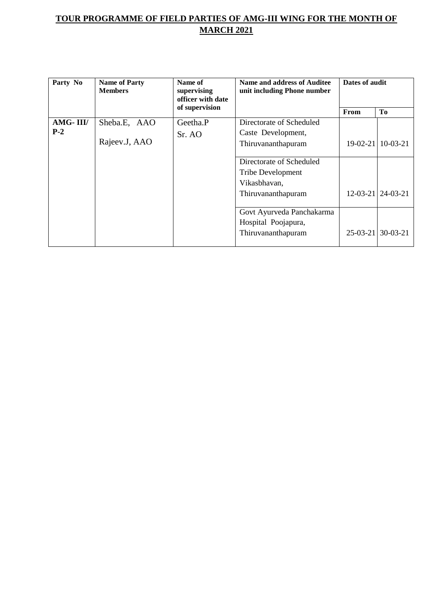| Party No | <b>Name of Party</b><br><b>Members</b> | Name of<br><b>Name and address of Auditee</b><br>unit including Phone number<br>supervising<br>officer with date |                           | Dates of audit |                           |
|----------|----------------------------------------|------------------------------------------------------------------------------------------------------------------|---------------------------|----------------|---------------------------|
|          |                                        | of supervision                                                                                                   |                           | From           | <b>To</b>                 |
| AMG-III/ | Sheba.E, AAO                           | Geetha.P                                                                                                         | Directorate of Scheduled  |                |                           |
| $P-2$    |                                        | Sr. AO                                                                                                           | Caste Development,        |                |                           |
|          | Rajeev.J, AAO                          |                                                                                                                  | Thiruvananthapuram        |                | 19-02-21 10-03-21         |
|          |                                        |                                                                                                                  |                           |                |                           |
|          |                                        |                                                                                                                  | Directorate of Scheduled  |                |                           |
|          |                                        |                                                                                                                  | <b>Tribe Development</b>  |                |                           |
|          |                                        |                                                                                                                  | Vikasbhavan,              |                |                           |
|          |                                        |                                                                                                                  | Thiruvananthapuram        |                | $12 - 03 - 21$   24-03-21 |
|          |                                        |                                                                                                                  | Govt Ayurveda Panchakarma |                |                           |
|          |                                        |                                                                                                                  | Hospital Poojapura,       |                |                           |
|          |                                        |                                                                                                                  | Thiruvananthapuram        |                | $25-03-21$ 30-03-21       |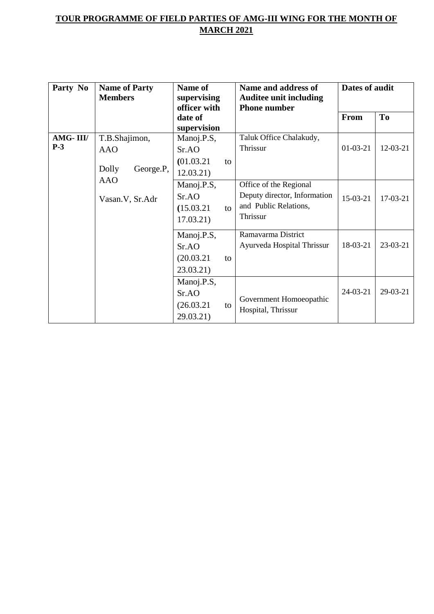| Party No          | <b>Name of Party</b><br><b>Members</b>            | Name of<br>supervising<br>officer with               | Name and address of<br><b>Auditee unit including</b><br><b>Phone number</b>                 | Dates of audit |                |
|-------------------|---------------------------------------------------|------------------------------------------------------|---------------------------------------------------------------------------------------------|----------------|----------------|
|                   |                                                   | date of<br>supervision                               |                                                                                             | <b>From</b>    | T <sub>o</sub> |
| AMG-III/<br>$P-3$ | T.B.Shajimon,<br><b>AAO</b><br>Dolly<br>George.P, | Manoj.P.S,<br>Sr.AO<br>(01.03.21)<br>to<br>12.03.21) | Taluk Office Chalakudy,<br>Thrissur                                                         | $01-03-21$     | 12-03-21       |
|                   | <b>AAO</b><br>Vasan. V, Sr. Adr                   | Manoj.P.S,<br>Sr.AO<br>(15.03.21)<br>to<br>17.03.21) | Office of the Regional<br>Deputy director, Information<br>and Public Relations,<br>Thrissur | $15-03-21$     | $17-03-21$     |
|                   |                                                   | Manoj.P.S,<br>SrAO<br>(20.03.21)<br>to<br>23.03.21)  | Ramavarma District<br>Ayurveda Hospital Thrissur                                            | 18-03-21       | 23-03-21       |
|                   |                                                   | Manoj.P.S,<br>Sr.AO<br>(26.03.21)<br>to<br>29.03.21) | Government Homoeopathic<br>Hospital, Thrissur                                               | $24 - 03 - 21$ | 29-03-21       |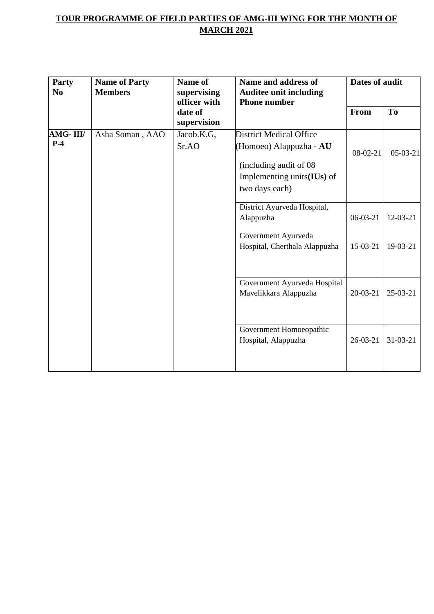| <b>Party</b><br>N <sub>0</sub> | <b>Name of Party</b><br><b>Members</b> | <b>Name of</b><br>supervising<br>officer with<br>date of<br>supervision | Name and address of<br><b>Auditee unit including</b><br><b>Phone number</b>                                                                        | <b>Dates of audit</b> |                |  |
|--------------------------------|----------------------------------------|-------------------------------------------------------------------------|----------------------------------------------------------------------------------------------------------------------------------------------------|-----------------------|----------------|--|
|                                |                                        |                                                                         |                                                                                                                                                    | <b>From</b>           | To             |  |
| AMG-III/<br>$P-4$              | Asha Soman, AAO                        | Jacob.K.G,<br>Sr.AO                                                     | <b>District Medical Office</b><br>(Homoeo) Alappuzha - AU<br>(including audit of 08)<br>Implementing units $($ <b>IUs</b> $)$ of<br>two days each) | $08-02-21$            | $05-03-21$     |  |
|                                |                                        |                                                                         | District Ayurveda Hospital,<br>Alappuzha                                                                                                           | $06-03-21$            | 12-03-21       |  |
|                                |                                        |                                                                         | Government Ayurveda<br>Hospital, Cherthala Alappuzha                                                                                               | 15-03-21              | 19-03-21       |  |
|                                |                                        |                                                                         | Government Ayurveda Hospital<br>Mavelikkara Alappuzha                                                                                              | $20 - 03 - 21$        | $25-03-21$     |  |
|                                |                                        |                                                                         | Government Homoeopathic<br>Hospital, Alappuzha                                                                                                     | 26-03-21              | $31 - 03 - 21$ |  |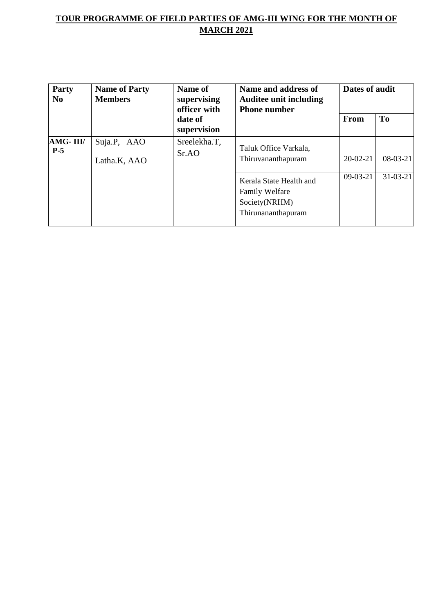| Party<br>$\bf No$ | <b>Name of Party</b><br><b>Members</b> | Name of<br>supervising<br>officer with | Name and address of<br><b>Auditee unit including</b><br><b>Phone number</b>             | Dates of audit |                |
|-------------------|----------------------------------------|----------------------------------------|-----------------------------------------------------------------------------------------|----------------|----------------|
|                   |                                        | date of<br>supervision                 |                                                                                         | <b>From</b>    | To             |
| AMG-III/<br>$P-5$ | Suja.P, AAO<br>Latha.K, AAO            | Sreelekha.T,<br>SrAO                   | Taluk Office Varkala,<br>Thiruvananthapuram                                             | $20 - 02 - 21$ | $08-03-21$     |
|                   |                                        |                                        | Kerala State Health and<br><b>Family Welfare</b><br>Society(NRHM)<br>Thirunananthapuram | $09-03-21$     | $31 - 03 - 21$ |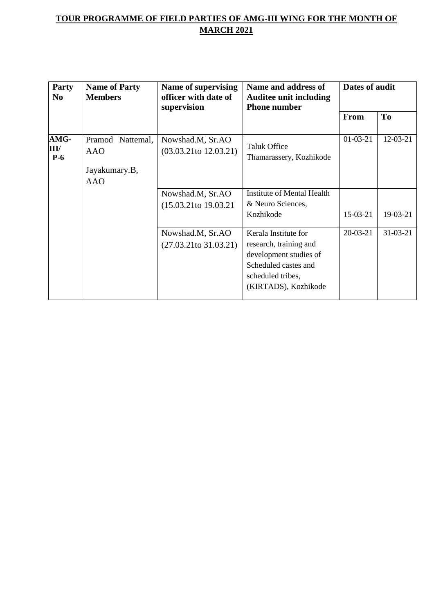| Party<br>$\bf No$     | <b>Name of Party</b><br><b>Members</b>                        | <b>Name of supervising</b><br>officer with date of<br>supervision | Name and address of<br><b>Auditee unit including</b><br><b>Phone number</b>                                                                   | Dates of audit |                |
|-----------------------|---------------------------------------------------------------|-------------------------------------------------------------------|-----------------------------------------------------------------------------------------------------------------------------------------------|----------------|----------------|
|                       |                                                               |                                                                   |                                                                                                                                               | <b>From</b>    | T <sub>0</sub> |
| AMG-<br>III/<br>$P-6$ | Pramod Nattemal,<br><b>AAO</b><br>Jayakumary.B,<br><b>AAO</b> | Nowshad.M, Sr.AO<br>$(03.03.21$ to $12.03.21)$                    | <b>Taluk Office</b><br>Thamarassery, Kozhikode                                                                                                | $01-03-21$     | 12-03-21       |
|                       |                                                               | Nowshad.M, Sr.AO<br>$(15.03.21 \text{ to } 19.03.21)$             | Institute of Mental Health<br>& Neuro Sciences,<br>Kozhikode                                                                                  | $15-03-21$     | 19-03-21       |
|                       |                                                               | Nowshad.M, Sr.AO<br>$(27.03.21$ to 31.03.21)                      | Kerala Institute for<br>research, training and<br>development studies of<br>Scheduled castes and<br>scheduled tribes,<br>(KIRTADS), Kozhikode | $20-03-21$     | $31 - 03 - 21$ |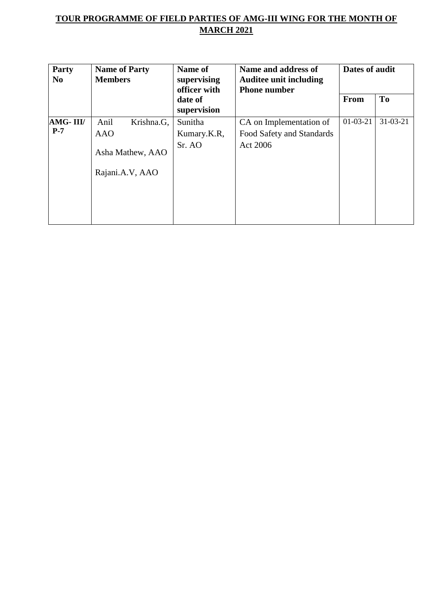| Party<br>N <sub>0</sub> | <b>Name of Party</b><br><b>Members</b> | Name of<br>supervising<br>officer with | Name and address of<br><b>Auditee unit including</b><br><b>Phone number</b> | Dates of audit |                |
|-------------------------|----------------------------------------|----------------------------------------|-----------------------------------------------------------------------------|----------------|----------------|
|                         |                                        | date of                                |                                                                             | <b>From</b>    | To             |
|                         |                                        | supervision                            |                                                                             |                |                |
| AMG-III/                | Anil<br>Krishna.G,                     | Sunitha                                | CA on Implementation of                                                     | $01-03-21$     | $31 - 03 - 21$ |
| $P-7$                   | <b>AAO</b>                             | Kumary.K.R,                            | Food Safety and Standards                                                   |                |                |
|                         | Asha Mathew, AAO                       | Sr. AO                                 | Act 2006                                                                    |                |                |
|                         | Rajani.A.V, AAO                        |                                        |                                                                             |                |                |
|                         |                                        |                                        |                                                                             |                |                |
|                         |                                        |                                        |                                                                             |                |                |
|                         |                                        |                                        |                                                                             |                |                |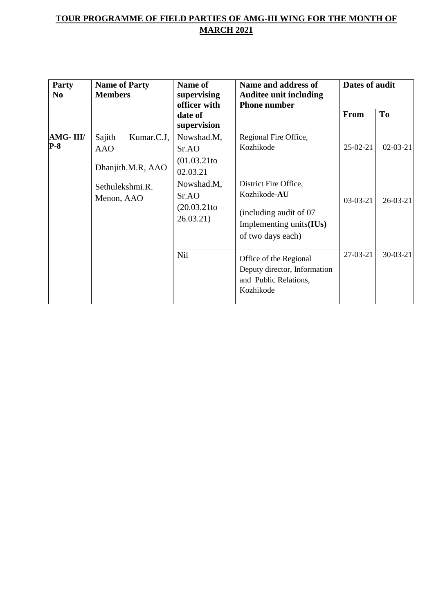| Party<br>N <sub>0</sub> | <b>Name of Party</b><br><b>Members</b>                                                   | Name of<br>supervising<br>officer with                                                                  | Name and address of<br><b>Auditee unit including</b><br><b>Phone number</b>                                                       | Dates of audit           |                              |
|-------------------------|------------------------------------------------------------------------------------------|---------------------------------------------------------------------------------------------------------|-----------------------------------------------------------------------------------------------------------------------------------|--------------------------|------------------------------|
|                         |                                                                                          | date of<br>supervision                                                                                  |                                                                                                                                   | From                     | T <sub>o</sub>               |
| AMG-III/<br>$P-8$       | Sajith<br>Kumar.C.J,<br><b>AAO</b><br>Dhanjith.M.R, AAO<br>Sethulekshmi.R.<br>Menon, AAO | Nowshad.M,<br>Sr.AO<br>$(01.03.21$ to<br>02.03.21<br>Nowshad.M,<br>Sr.AO<br>$(20.03.21$ to<br>26.03.21) | Regional Fire Office,<br>Kozhikode<br>District Fire Office,<br>Kozhikode-AU<br>(including audit of 07)<br>Implementing units(IUs) | $25-02-21$<br>$03-03-21$ | $02 - 03 - 21$<br>$26-03-21$ |
|                         |                                                                                          | <b>Nil</b>                                                                                              | of two days each)<br>Office of the Regional<br>Deputy director, Information<br>and Public Relations,<br>Kozhikode                 | $27-03-21$               | $30-03-21$                   |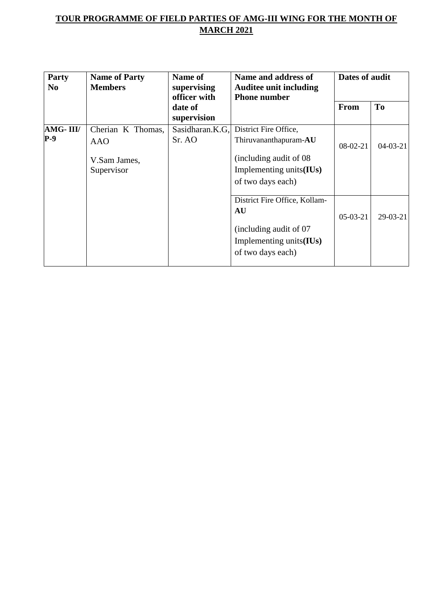| Party<br>N <sub>0</sub> | <b>Name of Party</b><br><b>Members</b>                        | Name of<br>supervising<br>officer with | Name and address of<br><b>Auditee unit including</b><br><b>Phone number</b>                                               | Dates of audit |            |
|-------------------------|---------------------------------------------------------------|----------------------------------------|---------------------------------------------------------------------------------------------------------------------------|----------------|------------|
|                         |                                                               | date of<br>supervision                 |                                                                                                                           | <b>From</b>    | <b>To</b>  |
| AMG-III/<br>$P-9$       | Cherian K Thomas,<br><b>AAO</b><br>V.Sam James,<br>Supervisor | Sasidharan.K.G.<br>Sr. AO              | District Fire Office,<br>Thiruvananthapuram-AU<br>(including audit of 08)<br>Implementing units(IUs)<br>of two days each) | 08-02-21       | $04-03-21$ |
|                         |                                                               |                                        | District Fire Office, Kollam-<br>AU<br>(including audit of 07)<br>Implementing units(IUs)<br>of two days each)            | $05-03-21$     | $29-03-21$ |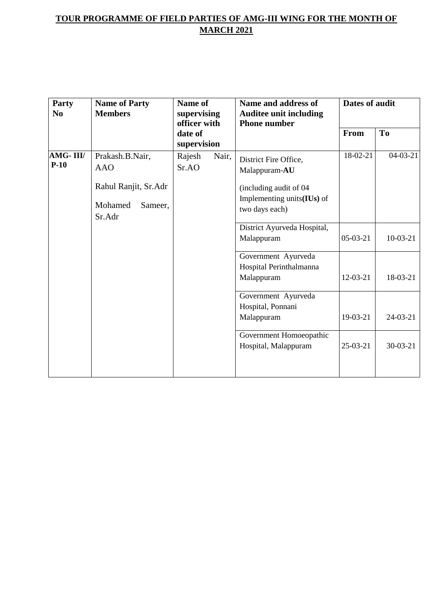| Party<br>N <sub>0</sub> | <b>Name of Party</b><br><b>Members</b>                                                | Name of<br>supervising<br>officer with | Name and address of<br><b>Auditee unit including</b><br><b>Phone number</b>                                       | Dates of audit |                |
|-------------------------|---------------------------------------------------------------------------------------|----------------------------------------|-------------------------------------------------------------------------------------------------------------------|----------------|----------------|
|                         |                                                                                       | date of<br>supervision                 |                                                                                                                   | From           | T <sub>0</sub> |
| AMG-III/<br>$P-10$      | Prakash.B.Nair,<br><b>AAO</b><br>Rahul Ranjit, Sr.Adr<br>Mohamed<br>Sameer,<br>Sr.Adr | Rajesh<br>Nair,<br>Sr.AO               | District Fire Office,<br>Malappuram-AU<br>(including audit of 04)<br>Implementing units(IUs) of<br>two days each) | 18-02-21       | $04-03-21$     |
|                         |                                                                                       |                                        | District Ayurveda Hospital,<br>Malappuram                                                                         | $05-03-21$     | $10-03-21$     |
|                         |                                                                                       |                                        | Government Ayurveda<br>Hospital Perinthalmanna<br>Malappuram                                                      | $12-03-21$     | 18-03-21       |
|                         |                                                                                       |                                        | Government Ayurveda<br>Hospital, Ponnani<br>Malappuram                                                            | 19-03-21       | $24-03-21$     |
|                         |                                                                                       |                                        | Government Homoeopathic<br>Hospital, Malappuram                                                                   | $25-03-21$     | $30 - 03 - 21$ |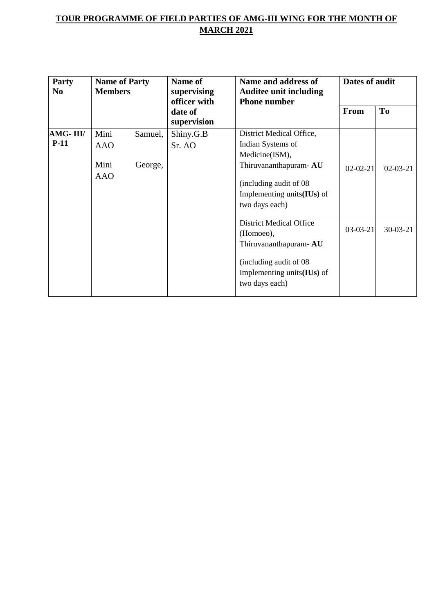| Party<br>N <sub>0</sub> | <b>Name of Party</b><br><b>Members</b>   |                    | <b>Name of</b><br>supervising<br>officer with | Name and address of<br><b>Auditee unit including</b><br><b>Phone number</b>                                                                                            | Dates of audit |            |
|-------------------------|------------------------------------------|--------------------|-----------------------------------------------|------------------------------------------------------------------------------------------------------------------------------------------------------------------------|----------------|------------|
|                         |                                          |                    | date of<br>supervision                        |                                                                                                                                                                        | <b>From</b>    | <b>To</b>  |
| AMG-III/<br>$P-11$      | Mini<br><b>AAO</b><br>Mini<br><b>AAO</b> | Samuel,<br>George, | Shiny.G.B<br>Sr. AO                           | District Medical Office,<br>Indian Systems of<br>Medicine(ISM),<br>Thiruvananthapuram-AU<br>(including audit of 08)<br>Implementing units $(IVs)$ of<br>two days each) | $02 - 02 - 21$ | $02-03-21$ |
|                         |                                          |                    |                                               | <b>District Medical Office</b><br>(Homoeo),<br>Thiruvananthapuram-AU<br>(including audit of 08)<br>Implementing units $(IVs)$ of<br>two days each)                     | $03-03-21$     | $30-03-21$ |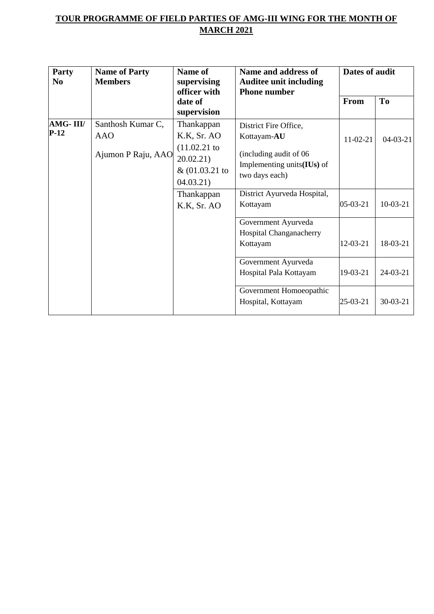| Party<br>N <sub>0</sub> | <b>Name of Party</b><br><b>Members</b>                | Name of<br>supervising<br>officer with                                                 | Name and address of<br><b>Auditee unit including</b><br><b>Phone number</b>                                                  | Dates of audit |            |
|-------------------------|-------------------------------------------------------|----------------------------------------------------------------------------------------|------------------------------------------------------------------------------------------------------------------------------|----------------|------------|
|                         |                                                       | date of<br>supervision                                                                 |                                                                                                                              | <b>From</b>    | To         |
| AMG-III/<br>$P-12$      | Santhosh Kumar C,<br><b>AAO</b><br>Ajumon P Raju, AAO | Thankappan<br>K.K, Sr. AO<br>$(11.02.21)$ to<br>20.02.21)<br>& (01.03.21)<br>04.03.21) | District Fire Office,<br>Kottayam-AU<br>(including audit of 06<br>Implementing units $($ <b>IUs</b> $)$ of<br>two days each) | $11-02-21$     | $04-03-21$ |
|                         |                                                       | Thankappan<br>K.K, Sr. AO                                                              | District Ayurveda Hospital,<br>Kottayam                                                                                      | 05-03-21       | $10-03-21$ |
|                         |                                                       |                                                                                        | Government Ayurveda<br>Hospital Changanacherry<br>Kottayam                                                                   | 12-03-21       | 18-03-21   |
|                         |                                                       |                                                                                        | Government Ayurveda<br>Hospital Pala Kottayam                                                                                | 19-03-21       | $24-03-21$ |
|                         |                                                       |                                                                                        | Government Homoeopathic<br>Hospital, Kottayam                                                                                | 25-03-21       | $30-03-21$ |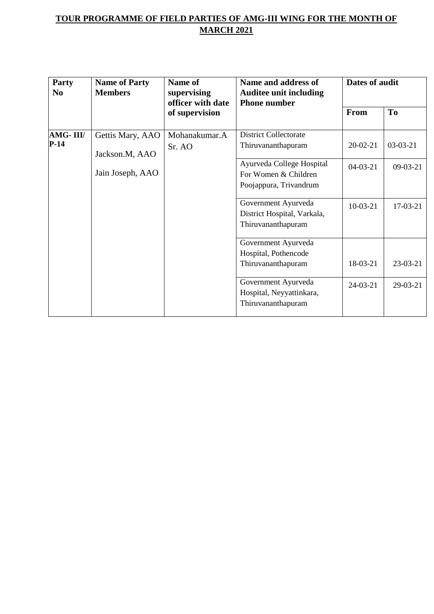| Party<br>N <sub>0</sub> | <b>Name of Party</b><br><b>Members</b> | Name of<br>supervising<br>officer with date<br>of supervision | Name and address of<br><b>Auditee unit including</b><br><b>Phone number</b> | Dates of audit |                |
|-------------------------|----------------------------------------|---------------------------------------------------------------|-----------------------------------------------------------------------------|----------------|----------------|
|                         |                                        |                                                               |                                                                             | From           | T <sub>o</sub> |
| AMG-III/                | Gettis Mary, AAO                       | Mohanakumar.A                                                 | <b>District Collectorate</b>                                                |                |                |
| $P-14$                  | Jackson.M, AAO                         | Sr. AO                                                        | Thiruvananthapuram                                                          | $20 - 02 - 21$ | $03-03-21$     |
|                         |                                        |                                                               | Ayurveda College Hospital                                                   | $04-03-21$     | $09-03-21$     |
|                         | Jain Joseph, AAO                       |                                                               | For Women & Children                                                        |                |                |
|                         |                                        |                                                               | Poojappura, Trivandrum                                                      |                |                |
|                         |                                        |                                                               | Government Ayurveda                                                         | $10-03-21$     | $17-03-21$     |
|                         |                                        |                                                               | District Hospital, Varkala,                                                 |                |                |
|                         |                                        |                                                               | Thiruvananthapuram                                                          |                |                |
|                         |                                        |                                                               | Government Ayurveda                                                         |                |                |
|                         |                                        |                                                               | Hospital, Pothencode                                                        |                |                |
|                         |                                        |                                                               | Thiruvananthapuram                                                          | 18-03-21       | 23-03-21       |
|                         |                                        |                                                               | Government Ayurveda                                                         | 24-03-21       | 29-03-21       |
|                         |                                        |                                                               | Hospital, Neyyattinkara,                                                    |                |                |
|                         |                                        |                                                               | Thiruvananthapuram                                                          |                |                |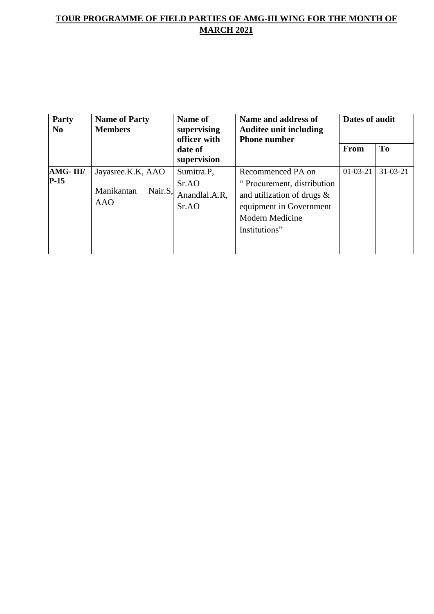| <b>Party</b><br>N <sub>0</sub> | <b>Name of Party</b><br><b>Members</b>            | Name of<br>supervising<br>officer with      | Name and address of<br><b>Auditee unit including</b><br><b>Phone number</b>                                                                            | Dates of audit |                |
|--------------------------------|---------------------------------------------------|---------------------------------------------|--------------------------------------------------------------------------------------------------------------------------------------------------------|----------------|----------------|
|                                |                                                   | date of<br>supervision                      |                                                                                                                                                        | <b>From</b>    | <b>To</b>      |
| AMG-III/<br>$P-15$             | Jayasree.K.K, AAO<br>Manikantan<br>Nair.S,<br>AAO | Sumitra.P.<br>SrAO<br>Anandlal.A.R,<br>SrAO | Recommenced PA on<br>"Procurement, distribution<br>and utilization of drugs $\&$<br>equipment in Government<br><b>Modern Medicine</b><br>Institutions" | $01-03-21$     | $31 - 03 - 21$ |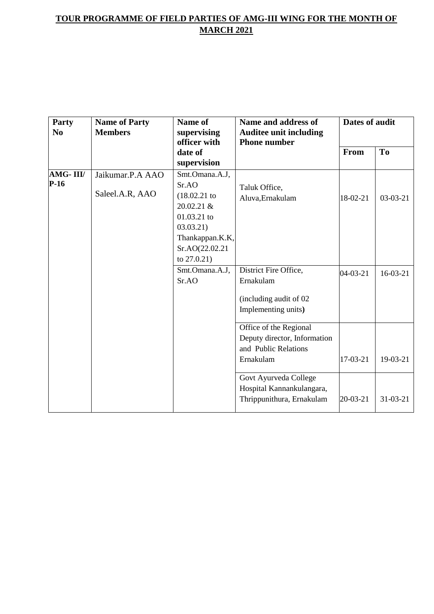| Party<br>$\bf No$ | <b>Name of Party</b><br><b>Members</b> | Name of<br>supervising<br>officer with<br>date of<br>supervision | Name and address of<br><b>Auditee unit including</b><br><b>Phone number</b> | Dates of audit |                |
|-------------------|----------------------------------------|------------------------------------------------------------------|-----------------------------------------------------------------------------|----------------|----------------|
|                   |                                        |                                                                  |                                                                             | From           | T <sub>o</sub> |
| AMG-III/          | Jaikumar.P.A AAO                       | Smt.Omana.A.J,                                                   |                                                                             |                |                |
| $P-16$            |                                        | Sr.AO                                                            | Taluk Office,                                                               |                |                |
|                   | Saleel.A.R, AAO                        | (18.02.21)                                                       | Aluva, Ernakulam                                                            | 18-02-21       | $03-03-21$     |
|                   |                                        | $20.02.21 \&$                                                    |                                                                             |                |                |
|                   |                                        | 01.03.21 to                                                      |                                                                             |                |                |
|                   |                                        | 03.03.21                                                         |                                                                             |                |                |
|                   |                                        | Thankappan.K.K,                                                  |                                                                             |                |                |
|                   |                                        | Sr.AO(22.02.21                                                   |                                                                             |                |                |
|                   |                                        | to $27.0.21$ )                                                   |                                                                             |                |                |
|                   |                                        | Smt.Omana.A.J,                                                   | District Fire Office,                                                       | 04-03-21       | $16-03-21$     |
|                   |                                        | Sr.AO                                                            | Ernakulam                                                                   |                |                |
|                   |                                        |                                                                  | (including audit of 02                                                      |                |                |
|                   |                                        |                                                                  | Implementing units)                                                         |                |                |
|                   |                                        |                                                                  | Office of the Regional                                                      |                |                |
|                   |                                        |                                                                  | Deputy director, Information                                                |                |                |
|                   |                                        |                                                                  | and Public Relations                                                        |                |                |
|                   |                                        |                                                                  | Ernakulam                                                                   | 17-03-21       | 19-03-21       |
|                   |                                        |                                                                  | Govt Ayurveda College                                                       |                |                |
|                   |                                        |                                                                  | Hospital Kannankulangara,                                                   |                |                |
|                   |                                        |                                                                  | Thrippunithura, Ernakulam                                                   | $20 - 03 - 21$ | $31 - 03 - 21$ |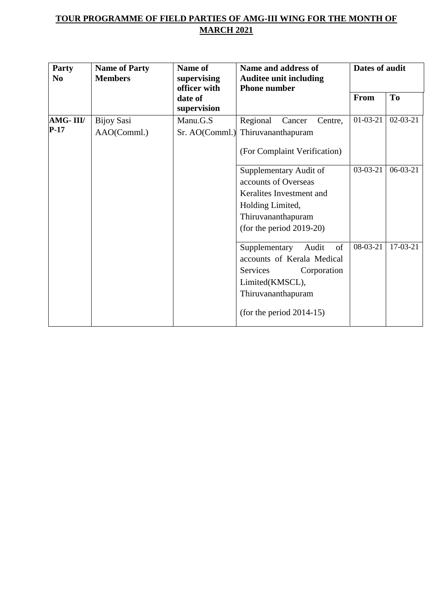| Party<br>N <sub>0</sub> | <b>Name of Party</b><br><b>Members</b> | Name of<br>supervising<br>officer with<br>date of<br>supervision | Name and address of<br><b>Auditee unit including</b><br><b>Phone number</b>                                                                                   | Dates of audit |                |
|-------------------------|----------------------------------------|------------------------------------------------------------------|---------------------------------------------------------------------------------------------------------------------------------------------------------------|----------------|----------------|
|                         |                                        |                                                                  |                                                                                                                                                               | From           | <b>To</b>      |
| AMG-III/<br>$P-17$      | <b>Bijoy Sasi</b><br>AAO(Comml.)       | Manu.G.S<br>Sr. AO(Comml.)                                       | Regional<br>Centre,<br>Cancer<br>Thiruvananthapuram<br>(For Complaint Verification)                                                                           | $01-03-21$     | $02 - 03 - 21$ |
|                         |                                        |                                                                  | Supplementary Audit of<br>accounts of Overseas<br>Keralites Investment and<br>Holding Limited,<br>Thiruvananthapuram<br>(for the period $2019-20$ )           | $03-03-21$     | $06-03-21$     |
|                         |                                        |                                                                  | of<br>Supplementary<br>Audit<br>accounts of Kerala Medical<br>Services<br>Corporation<br>Limited(KMSCL),<br>Thiruvananthapuram<br>(for the period $2014-15$ ) | 08-03-21       | 17-03-21       |